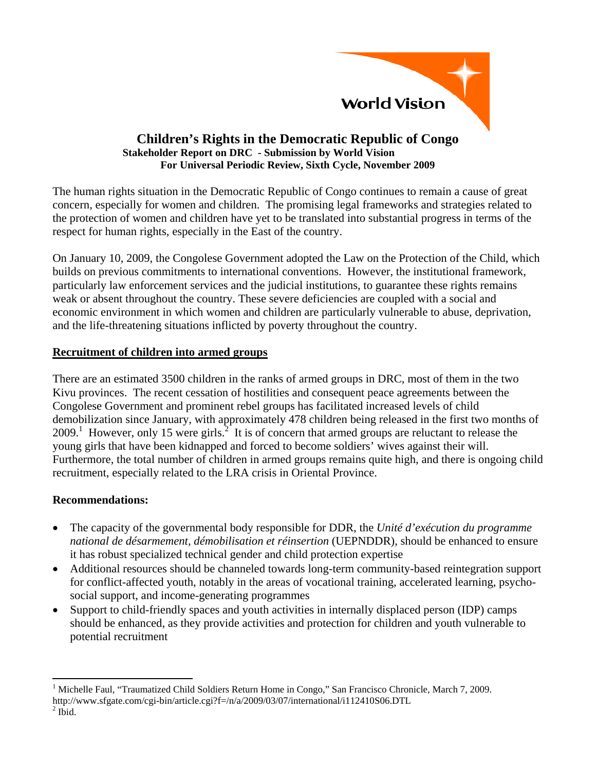

## **Children's Rights in the Democratic Republic of Congo Stakeholder Report on DRC - Submission by World Vision For Universal Periodic Review, Sixth Cycle, November 2009**

The human rights situation in the Democratic Republic of Congo continues to remain a cause of great concern, especially for women and children. The promising legal frameworks and strategies related to the protection of women and children have yet to be translated into substantial progress in terms of the respect for human rights, especially in the East of the country.

On January 10, 2009, the Congolese Government adopted the Law on the Protection of the Child, which builds on previous commitments to international conventions. However, the institutional framework, particularly law enforcement services and the judicial institutions, to guarantee these rights remains weak or absent throughout the country. These severe deficiencies are coupled with a social and economic environment in which women and children are particularly vulnerable to abuse, deprivation, and the life-threatening situations inflicted by poverty throughout the country.

# **Recruitment of children into armed groups**

There are an estimated 3500 children in the ranks of armed groups in DRC, most of them in the two Kivu provinces. The recent cessation of hostilities and consequent peace agreements between the Congolese Government and prominent rebel groups has facilitated increased levels of child demobilization since January, with approximately 478 children being released in the first two months of  $2009$ <sup>1</sup>. However, only 15 were girls.<sup>2</sup> It is of concern that armed groups are reluctant to release the young girls that have been kidnapped and forced to become soldiers' wives against their will. Furthermore, the total number of children in armed groups remains quite high, and there is ongoing child recruitment, especially related to the LRA crisis in Oriental Province.

# **Recommendations:**

- The capacity of the governmental body responsible for DDR, the *Unité d'exécution du programme national de désarmement, démobilisation et réinsertion* (UEPNDDR), should be enhanced to ensure it has robust specialized technical gender and child protection expertise
- Additional resources should be channeled towards long-term community-based reintegration support for conflict-affected youth, notably in the areas of vocational training, accelerated learning, psychosocial support, and income-generating programmes
- Support to child-friendly spaces and youth activities in internally displaced person (IDP) camps should be enhanced, as they provide activities and protection for children and youth vulnerable to potential recruitment

 $^{2}$  Ibid.

 $\overline{a}$ 1 Michelle Faul, "Traumatized Child Soldiers Return Home in Congo," San Francisco Chronicle, March 7, 2009. http://www.sfgate.com/cgi-bin/article.cgi?f=/n/a/2009/03/07/international/i112410S06.DTL 2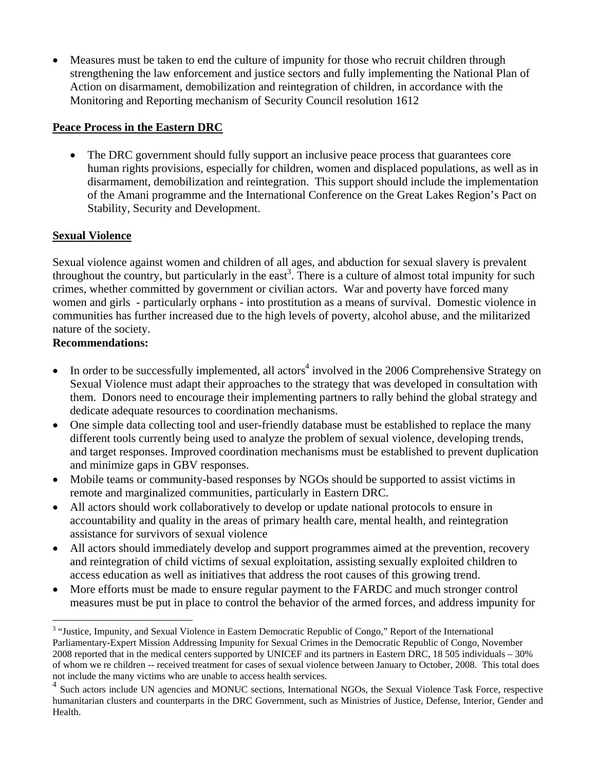• Measures must be taken to end the culture of impunity for those who recruit children through strengthening the law enforcement and justice sectors and fully implementing the National Plan of Action on disarmament, demobilization and reintegration of children, in accordance with the Monitoring and Reporting mechanism of Security Council resolution 1612

# **Peace Process in the Eastern DRC**

• The DRC government should fully support an inclusive peace process that guarantees core human rights provisions, especially for children, women and displaced populations, as well as in disarmament, demobilization and reintegration. This support should include the implementation of the Amani programme and the International Conference on the Great Lakes Region's Pact on Stability, Security and Development.

# **Sexual Violence**

Sexual violence against women and children of all ages, and abduction for sexual slavery is prevalent throughout the country, but particularly in the east<sup>3</sup>. There is a culture of almost total impunity for such crimes, whether committed by government or civilian actors. War and poverty have forced many women and girls - particularly orphans - into prostitution as a means of survival. Domestic violence in communities has further increased due to the high levels of poverty, alcohol abuse, and the militarized nature of the society.

# **Recommendations:**

 $\overline{a}$ 

- In order to be successfully implemented, all actors<sup>4</sup> involved in the 2006 Comprehensive Strategy on Sexual Violence must adapt their approaches to the strategy that was developed in consultation with them. Donors need to encourage their implementing partners to rally behind the global strategy and dedicate adequate resources to coordination mechanisms.
- One simple data collecting tool and user-friendly database must be established to replace the many different tools currently being used to analyze the problem of sexual violence, developing trends, and target responses. Improved coordination mechanisms must be established to prevent duplication and minimize gaps in GBV responses.
- Mobile teams or community-based responses by NGOs should be supported to assist victims in remote and marginalized communities, particularly in Eastern DRC.
- All actors should work collaboratively to develop or update national protocols to ensure in accountability and quality in the areas of primary health care, mental health, and reintegration assistance for survivors of sexual violence
- All actors should immediately develop and support programmes aimed at the prevention, recovery and reintegration of child victims of sexual exploitation, assisting sexually exploited children to access education as well as initiatives that address the root causes of this growing trend.
- More efforts must be made to ensure regular payment to the FARDC and much stronger control measures must be put in place to control the behavior of the armed forces, and address impunity for

<sup>&</sup>lt;sup>3</sup> "Justice, Impunity, and Sexual Violence in Eastern Democratic Republic of Congo," Report of the International Parliamentary-Expert Mission Addressing Impunity for Sexual Crimes in the Democratic Republic of Congo, November 2008 reported that in the medical centers supported by UNICEF and its partners in Eastern DRC, 18 505 individuals – 30% of whom we re children -- received treatment for cases of sexual violence between January to October, 2008. This total does not include the many victims who are unable to access health services.

Such actors include UN agencies and MONUC sections, International NGOs, the Sexual Violence Task Force, respective humanitarian clusters and counterparts in the DRC Government, such as Ministries of Justice, Defense, Interior, Gender and Health.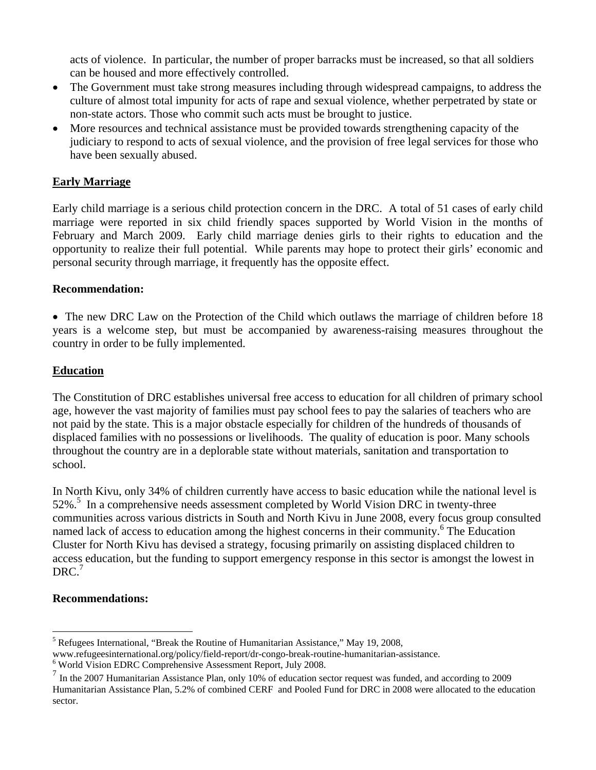acts of violence. In particular, the number of proper barracks must be increased, so that all soldiers can be housed and more effectively controlled.

- The Government must take strong measures including through widespread campaigns, to address the culture of almost total impunity for acts of rape and sexual violence, whether perpetrated by state or non-state actors. Those who commit such acts must be brought to justice.
- More resources and technical assistance must be provided towards strengthening capacity of the judiciary to respond to acts of sexual violence, and the provision of free legal services for those who have been sexually abused.

# **Early Marriage**

Early child marriage is a serious child protection concern in the DRC. A total of 51 cases of early child marriage were reported in six child friendly spaces supported by World Vision in the months of February and March 2009. Early child marriage denies girls to their rights to education and the opportunity to realize their full potential. While parents may hope to protect their girls' economic and personal security through marriage, it frequently has the opposite effect.

### **Recommendation:**

• The new DRC Law on the Protection of the Child which outlaws the marriage of children before 18 years is a welcome step, but must be accompanied by awareness-raising measures throughout the country in order to be fully implemented.

### **Education**

The Constitution of DRC establishes universal free access to education for all children of primary school age, however the vast majority of families must pay school fees to pay the salaries of teachers who are not paid by the state. This is a major obstacle especially for children of the hundreds of thousands of displaced families with no possessions or livelihoods. The quality of education is poor. Many schools throughout the country are in a deplorable state without materials, sanitation and transportation to school.

In North Kivu, only 34% of children currently have access to basic education while the national level is 52%.<sup>5</sup> In a comprehensive needs assessment completed by World Vision DRC in twenty-three communities across various districts in South and North Kivu in June 2008, every focus group consulted named lack of access to education among the highest concerns in their community.<sup>6</sup> The Education Cluster for North Kivu has devised a strategy, focusing primarily on assisting displaced children to access education, but the funding to support emergency response in this sector is amongst the lowest in  $DRC.<sup>7</sup>$ 

#### **Recommendations:**

 $\overline{a}$ 

<sup>&</sup>lt;sup>5</sup> Refugees International, "Break the Routine of Humanitarian Assistance," May 19, 2008,

www.refugeesinternational.org/policy/field-report/dr-congo-break-routine-humanitarian-assistance.

<sup>6</sup> World Vision EDRC Comprehensive Assessment Report, July 2008.

 $<sup>7</sup>$  In the 2007 Humanitarian Assistance Plan, only 10% of education sector request was funded, and according to 2009</sup> Humanitarian Assistance Plan, 5.2% of combined CERF and Pooled Fund for DRC in 2008 were allocated to the education sector.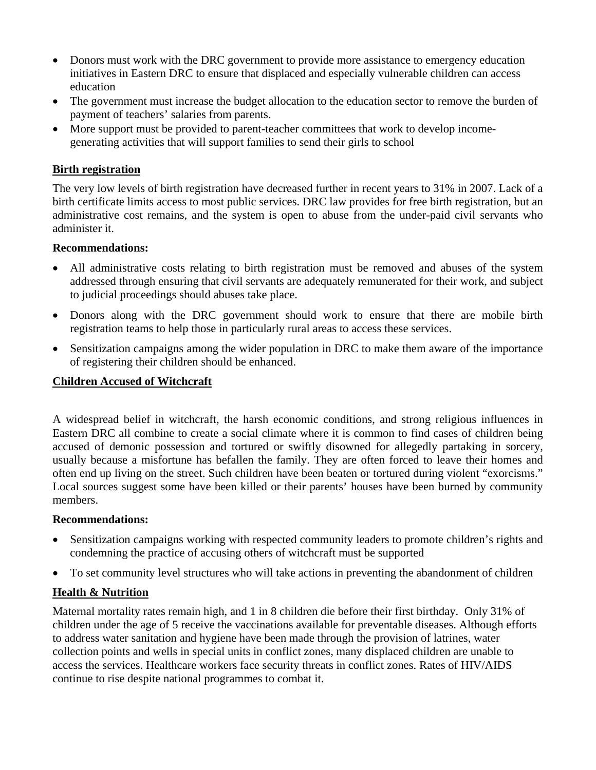- Donors must work with the DRC government to provide more assistance to emergency education initiatives in Eastern DRC to ensure that displaced and especially vulnerable children can access education
- The government must increase the budget allocation to the education sector to remove the burden of payment of teachers' salaries from parents.
- More support must be provided to parent-teacher committees that work to develop incomegenerating activities that will support families to send their girls to school

## **Birth registration**

The very low levels of birth registration have decreased further in recent years to 31% in 2007. Lack of a birth certificate limits access to most public services. DRC law provides for free birth registration, but an administrative cost remains, and the system is open to abuse from the under-paid civil servants who administer it.

#### **Recommendations:**

- All administrative costs relating to birth registration must be removed and abuses of the system addressed through ensuring that civil servants are adequately remunerated for their work, and subject to judicial proceedings should abuses take place.
- Donors along with the DRC government should work to ensure that there are mobile birth registration teams to help those in particularly rural areas to access these services.
- Sensitization campaigns among the wider population in DRC to make them aware of the importance of registering their children should be enhanced.

### **Children Accused of Witchcraft**

A widespread belief in witchcraft, the harsh economic conditions, and strong religious influences in Eastern DRC all combine to create a social climate where it is common to find cases of children being accused of demonic possession and tortured or swiftly disowned for allegedly partaking in sorcery, usually because a misfortune has befallen the family. They are often forced to leave their homes and often end up living on the street. Such children have been beaten or tortured during violent "exorcisms." Local sources suggest some have been killed or their parents' houses have been burned by community members.

#### **Recommendations:**

- Sensitization campaigns working with respected community leaders to promote children's rights and condemning the practice of accusing others of witchcraft must be supported
- To set community level structures who will take actions in preventing the abandonment of children

#### **Health & Nutrition**

Maternal mortality rates remain high, and 1 in 8 children die before their first birthday. Only 31% of children under the age of 5 receive the vaccinations available for preventable diseases. Although efforts to address water sanitation and hygiene have been made through the provision of latrines, water collection points and wells in special units in conflict zones, many displaced children are unable to access the services. Healthcare workers face security threats in conflict zones. Rates of HIV/AIDS continue to rise despite national programmes to combat it.